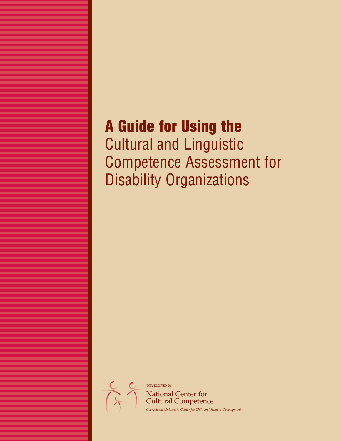## **A Guide for Using the**

Cultural and Linguistic Competence Assessment for Disability Organizations

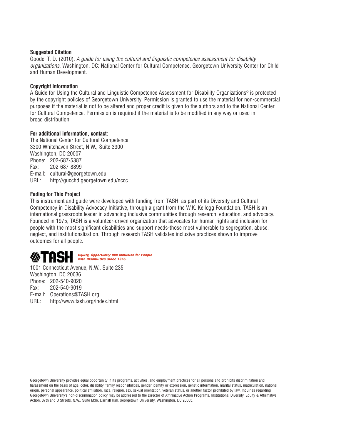#### **Suggested Citation**

Goode, T. D. (2010). A guide for using the cultural and linguistic competence assessment for disability organizations. Washington, DC: National Center for Cultural Competence, Georgetown University Center for Child and Human Development.

#### **Copyright Information**

A Guide for Using the Cultural and Linguistic Competence Assessment for Disability Organizations© is protected by the copyright policies of Georgetown University. Permission is granted to use the material for non-commercial purposes if the material is not to be altered and proper credit is given to the authors and to the National Center for Cultural Competence. Permission is required if the material is to be modified in any way or used in broad distribution.

#### **For additional information, contact:**

The National Center for Cultural Competence 3300 Whitehaven Street, N.W., Suite 3300 Washington, DC 20007 Phone: 202-687-5387 Fax: 202-687-8899 E-mail: cultural@georgetown.edu URL: http://gucchd.georgetown.edu/nccc

#### **Fuding for This Project**

This instrument and guide were developed with funding from TASH, as part of its Diversity and Cultural Competency in Disability Advocacy Initiative, through a grant from the W.K. Kellogg Foundation. TASH is an international grassroots leader in advancing inclusive communities through research, education, and advocacy. Founded in 1975, TASH is a volunteer-driven organization that advocates for human rights and inclusion for people with the most significant disabilities and support needs-those most vulnerable to segregation, abuse, neglect, and institutionalization. Through research TASH validates inclusive practices shown to improve outcomes for all people.



1001 Connecticut Avenue, N.W., Suite 235 Washington, DC 20036 Phone: 202-540-9020 Fax: 202-540-9019 E-mail: Operations@TASH.org URL: http://www.tash.org/index.html

Georgetown University provides equal opportunity in its programs, activities, and employment practices for all persons and prohibits discrimination and harassment on the basis of age, color, disability, family responsibilities, gender identity or expression, genetic information, marital status, matriculation, national origin, personal appearance, political affiliation, race, religion, sex, sexual orientation, veteran status, or another factor prohibited by law. Inquiries regarding Georgetown University's non-discrimination policy may be addressed to the Director of Affirmative Action Programs, Institutional Diversity, Equity & Affirmative Action, 37th and O Streets, N.W., Suite M36, Darnall Hall, Georgetown University, Washington, DC 20005.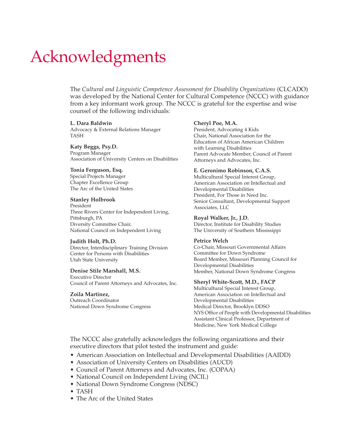# Acknowledgments

The *Cultural and Linguistic Competence Assessment for Disability Organizations* (CLCADO) was developed by the National Center for Cultural Competence (NCCC) with guidance from a key informant work group. The NCCC is grateful for the expertise and wise counsel of the following individuals:

#### **L. Dara Baldwin**

Advocacy & External Relations Manager TASH

**Katy Beggs, Psy.D.** Program Manager Association of University Centers on Disabilities

#### **Tonia Ferguson, Esq.**

Special Projects Manager Chapter Excellence Group The Arc of the United States

#### **Stanley Holbrook**

President Three Rivers Center for Independent Living, Pittsburgh, PA Diversity Committee Chair, National Council on Independent Living

#### **Judith Holt, Ph.D.**

Director, Interdisciplinary Training Division Center for Persons with Disabilities Utah State University

#### **Denise Stile Marshall, M.S.**

Executive Director Council of Parent Attorneys and Advocates, Inc.

#### **Zoila Martinez,**

Outreach Coordinator National Down Syndrome Congress

#### **Cheryl Poe, M.A.**

President, Advocating 4 Kids Chair, National Association for the Education of African American Children with Learning Disabilities Parent Advocate Member, Council of Parent Attorneys and Advocates, Inc.

#### **E. Geronimo Robinson, C.A.S.**

Multicultural Special Interest Group, American Association on Intellectual and Developmental Disabilities President, For Those in Need Inc. Senior Consultant, Developmental Support Associates, LLC

#### **Royal Walker, Jr., J.D.**

Director, Institute for Disability Studies The University of Southern Mississippi

#### **Petrice Welch**

Co-Chair, Missouri Governmental Affairs Committee for Down Syndrome Board Member, Missouri Planning Council for Developmental Disabilities Member, National Down Syndrome Congress

#### **Sheryl White-Scott, M.D., FACP**

Multicultural Special Interest Group, American Association on Intellectual and Developmental Disabilities Medical Director, Brooklyn DDSO NYS Office of People with Developmental Disabilities Assistant Clinical Professor, Department of Medicine, New York Medical College

The NCCC also gratefully acknowledges the following organizations and their executive directors that pilot tested the instrument and guide:

- American Association on Intellectual and Developmental Disabilities (AAIDD)
- Association of University Centers on Disabilities (AUCD)
- Council of Parent Attorneys and Advocates, Inc. (COPAA)
- National Council on Independent Living (NCIL)
- National Down Syndrome Congress (NDSC)
- TASH
- The Arc of the United States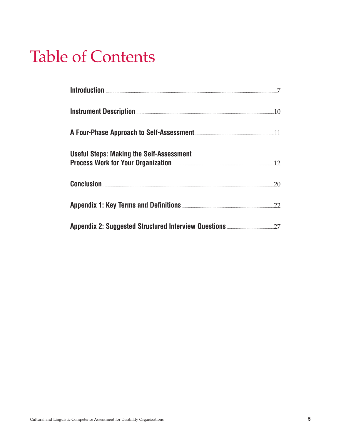# **Table of Contents**

|                                                                                                                      | .10 |
|----------------------------------------------------------------------------------------------------------------------|-----|
|                                                                                                                      |     |
| <b>Useful Steps: Making the Self-Assessment</b><br>Process Work for Your Organization <b>Engineering Strategy</b> 12 |     |
| <b>Conclusion</b> 20                                                                                                 |     |
|                                                                                                                      | 22  |
|                                                                                                                      |     |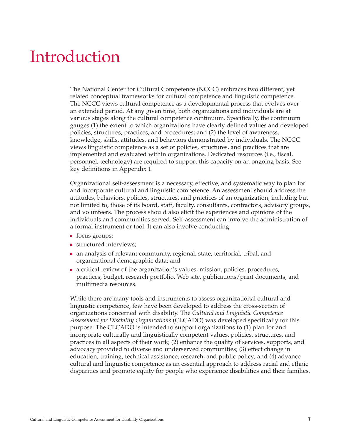## Introduction

The National Center for Cultural Competence (NCCC) embraces two different, yet related conceptual frameworks for cultural competence and linguistic competence. The NCCC views cultural competence as a developmental process that evolves over an extended period. At any given time, both organizations and individuals are at various stages along the cultural competence continuum. Specifically, the continuum gauges (1) the extent to which organizations have clearly defined values and developed policies, structures, practices, and procedures; and (2) the level of awareness, knowledge, skills, attitudes, and behaviors demonstrated by individuals. The NCCC views linguistic competence as a set of policies, structures, and practices that are implemented and evaluated within organizations. Dedicated resources (i.e., fiscal, personnel, technology) are required to support this capacity on an ongoing basis. See key definitions in Appendix 1.

Organizational self-assessment is a necessary, effective, and systematic way to plan for and incorporate cultural and linguistic competence. An assessment should address the attitudes, behaviors, policies, structures, and practices of an organization, including but not limited to, those of its board, staff, faculty, consultants, contractors, advisory groups, and volunteers. The process should also elicit the experiences and opinions of the individuals and communities served. Self-assessment can involve the administration of a formal instrument or tool. It can also involve conducting:

- focus groups;
- structured interviews;
- an analysis of relevant community, regional, state, territorial, tribal, and organizational demographic data; and
- a critical review of the organization's values, mission, policies, procedures, practices, budget, research portfolio, Web site, publications/print documents, and multimedia resources.

While there are many tools and instruments to assess organizational cultural and linguistic competence, few have been developed to address the cross-section of organizations concerned with disability. The *Cultural and Linguistic Competence Assessment for Disability Organizations* (CLCADO) was developed specifically for this purpose. The CLCADO is intended to support organizations to (1) plan for and incorporate culturally and linguistically competent values, policies, structures, and practices in all aspects of their work; (2) enhance the quality of services, supports, and advocacy provided to diverse and underserved communities; (3) effect change in education, training, technical assistance, research, and public policy; and (4) advance cultural and linguistic competence as an essential approach to address racial and ethnic disparities and promote equity for people who experience disabilities and their families.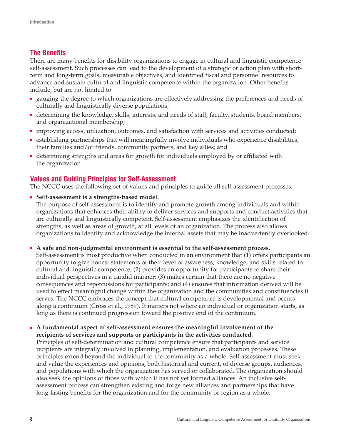## **The Benefits**

There are many benefits for disability organizations to engage in cultural and linguistic competence self-assessment. Such processes can lead to the development of a strategic or action plan with shortterm and long-term goals, measurable objectives, and identified fiscal and personnel resources to advance and sustain cultural and linguistic competence within the organization. Other benefits include, but are not limited to:

- gauging the degree to which organizations are effectively addressing the preferences and needs of culturally and linguistically diverse populations;
- determining the knowledge, skills, interests, and needs of staff, faculty, students, board members, and organizational membership;
- improving access, utilization, outcomes, and satisfaction with services and activities conducted;
- establishing partnerships that will meaningfully involve individuals who experience disabilities, their families and/or friends, community partners, and key allies; and
- determining strengths and areas for growth for individuals employed by or affiliated with the organization.

## **Values and Guiding Principles for Self-Assessment**

The NCCC uses the following set of values and principles to guide all self-assessment processes.

■ **Self-assessment is a strengths-based model.**

The purpose of self-assessment is to identify and promote growth among individuals and within organizations that enhances their ability to deliver services and supports and conduct activities that are culturally and linguistically competent. Self-assessment emphasizes the identification of strengths, as well as areas of growth, at all levels of an organization. The process also allows organizations to identify and acknowledge the internal assets that may be inadvertently overlooked.

■ **A safe and non-judgmental environment is essential to the self-assessment process.**

Self-assessment is most productive when conducted in an environment that (1) offers participants an opportunity to give honest statements of their level of awareness, knowledge, and skills related to cultural and linguistic competence; (2) provides an opportunity for participants to share their individual perspectives in a candid manner; (3) makes certain that there are no negative consequences and repercussions for participants; and (4) ensures that information derived will be used to effect meaningful change within the organization and the communities and constituencies it serves. The NCCC embraces the concept that cultural competence is developmental and occurs along a continuum (Cross et al., 1989). It matters not where an individual or organization starts, as long as there is continued progression toward the positive end of the continuum.

■ **A fundamental aspect of self-assessment ensures the meaningful involvement of the recipients of services and supports or participants in the activities conducted.**

Principles of self-determination and cultural competence ensure that participants and service recipients are integrally involved in planning, implementation, and evaluation processes. These principles extend beyond the individual to the community as a whole. Self-assessment must seek and value the experiences and opinions, both historical and current, of diverse groups, audiences, and populations with which the organization has served or collaborated. The organization should also seek the opinions of those with which it has not yet formed alliances. An inclusive selfassessment process can strengthen existing and forge new alliances and partnerships that have long-lasting benefits for the organization and for the community or region as a whole.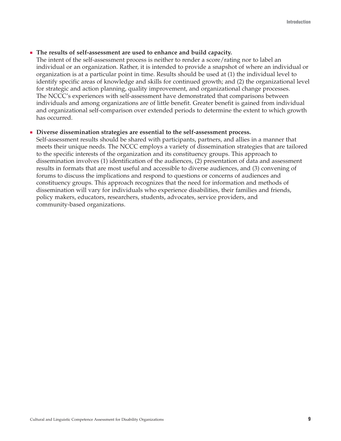#### ■ **The results of self-assessment are used to enhance and build capacity.**

The intent of the self-assessment process is neither to render a score/rating nor to label an individual or an organization. Rather, it is intended to provide a snapshot of where an individual or organization is at a particular point in time. Results should be used at (1) the individual level to identify specific areas of knowledge and skills for continued growth; and (2) the organizational level for strategic and action planning, quality improvement, and organizational change processes. The NCCC's experiences with self-assessment have demonstrated that comparisons between individuals and among organizations are of little benefit. Greater benefit is gained from individual and organizational self-comparison over extended periods to determine the extent to which growth has occurred.

#### ■ **Diverse dissemination strategies are essential to the self-assessment process.**

Self-assessment results should be shared with participants, partners, and allies in a manner that meets their unique needs. The NCCC employs a variety of dissemination strategies that are tailored to the specific interests of the organization and its constituency groups. This approach to dissemination involves (1) identification of the audiences, (2) presentation of data and assessment results in formats that are most useful and accessible to diverse audiences, and (3) convening of forums to discuss the implications and respond to questions or concerns of audiences and constituency groups. This approach recognizes that the need for information and methods of dissemination will vary for individuals who experience disabilities, their families and friends, policy makers, educators, researchers, students, advocates, service providers, and community-based organizations.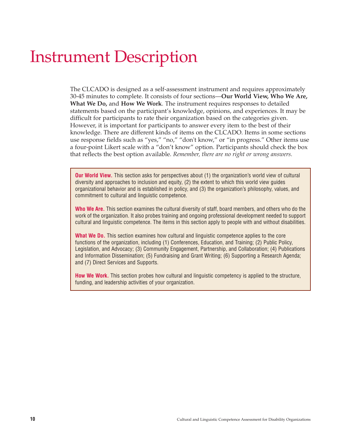## Instrument Description

The CLCADO is designed as a self-assessment instrument and requires approximately 30-45 minutes to complete. It consists of four sections—**Our World View, Who We Are, What We Do,** and **How We Work**. The instrument requires responses to detailed statements based on the participant's knowledge, opinions, and experiences. It may be difficult for participants to rate their organization based on the categories given. However, it is important for participants to answer every item to the best of their knowledge. There are different kinds of items on the CLCADO. Items in some sections use response fields such as "yes," "no," "don't know," or "in progress." Other items use a four-point Likert scale with a "don't know" option. Participants should check the box that reflects the best option available. *Remember, there are no right or wrong answers.*

**Our World View.** This section asks for perspectives about (1) the organization's world view of cultural diversity and approaches to inclusion and equity, (2) the extent to which this world view guides organizational behavior and is established in policy, and (3) the organization's philosophy, values, and commitment to cultural and linguistic competence.

**Who We Are.** This section examines the cultural diversity of staff, board members, and others who do the work of the organization. It also probes training and ongoing professional development needed to support cultural and linguistic competence. The items in this section apply to people with and without disabilities.

**What We Do.** This section examines how cultural and linguistic competence applies to the core functions of the organization, including (1) Conferences, Education, and Training; (2) Public Policy, Legislation, and Advocacy; (3) Community Engagement, Partnership, and Collaboration; (4) Publications and Information Dissemination; (5) Fundraising and Grant Writing; (6) Supporting a Research Agenda; and (7) Direct Services and Supports.

**How We Work.** This section probes how cultural and linguistic competency is applied to the structure, funding, and leadership activities of your organization.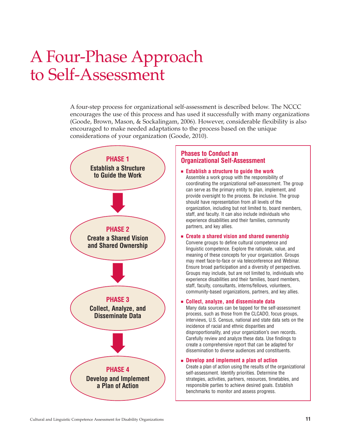## A Four-Phase Approach to Self-Assessment

A four-step process for organizational self-assessment is described below. The NCCC encourages the use of this process and has used it successfully with many organizations (Goode, Brown, Mason, & Sockalingam, 2006). However, considerable flexibility is also encouraged to make needed adaptations to the process based on the unique considerations of your organization (Goode, 2010).



### **Phases to Conduct an Organizational Self-Assessment**

- **Establish a structure to guide the work** Assemble a work group with the responsibility of coordinating the organizational self-assessment. The group can serve as the primary entity to plan, implement, and provide oversight to the process. Be inclusive. The group should have representation from all levels of the organization, including but not limited to, board members, staff, and faculty. It can also include individuals who experience disabilities and their families, community partners, and key allies.
- **Create a shared vision and shared ownership** Convene groups to define cultural competence and linguistic competence. Explore the rationale, value, and meaning of these concepts for your organization. Groups may meet face-to-face or via teleconference and Webinar. Ensure broad participation and a diversity of perspectives. Groups may include, but are not limited to, individuals who experience disabilities and their families, board members, staff, faculty, consultants, interns/fellows, volunteers,

community-based organizations, partners, and key allies.

#### ■ **Collect, analyze, and disseminate data**

Many data sources can be tapped for the self-assessment process, such as those from the CLCADO, focus groups, interviews, U.S. Census, national and state data sets on the incidence of racial and ethnic disparities and disproportionality, and your organization's own records. Carefully review and analyze these data. Use findings to create a comprehensive report that can be adapted for dissemination to diverse audiences and constituents.

#### ■ **Develop and implement a plan of action**

Create a plan of action using the results of the organizational self-assessment. Identify priorities. Determine the strategies, activities, partners, resources, timetables, and responsible parties to achieve desired goals. Establish benchmarks to monitor and assess progress.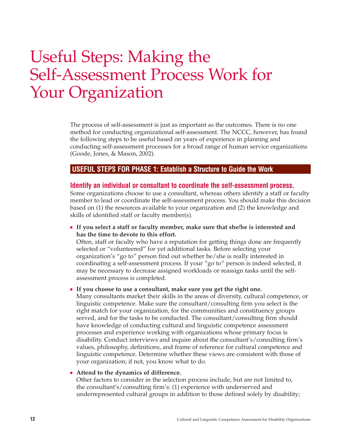## Useful Steps: Making the Self-Assessment Process Work for Your Organization

The process of self-assessment is just as important as the outcomes. There is no one method for conducting organizational self-assessment. The NCCC, however, has found the following steps to be useful based on years of experience in planning and conducting self-assessment processes for a broad range of human service organizations (Goode, Jones, & Mason, 2002).

### **USEFUL STEPS FOR PHASE 1: Establish a Structure to Guide the Work**

#### **Identify an individual or consultant to coordinate the self-assessment process.**

Some organizations choose to use a consultant, whereas others identify a staff or faculty member to lead or coordinate the self-assessment process. You should make this decision based on (1) the resources available to your organization and (2) the knowledge and skills of identified staff or faculty member(s).

■ **If you select a staff or faculty member, make sure that she/he is interested and has the time to devote to this effort.**

Often, staff or faculty who have a reputation for getting things done are frequently selected or "volunteered" for yet additional tasks. Before selecting your organization's "go to" person find out whether he/she is really interested in coordinating a self-assessment process. If your "go to" person is indeed selected, it may be necessary to decrease assigned workloads or reassign tasks until the selfassessment process is completed.

#### ■ **If you choose to use a consultant, make sure you get the right one.**

Many consultants market their skills in the areas of diversity, cultural competence, or linguistic competence. Make sure the consultant/consulting firm you select is the right match for your organization, for the communities and constituency groups served, and for the tasks to be conducted. The consultant/consulting firm should have knowledge of conducting cultural and linguistic competence assessment processes and experience working with organizations whose primary focus is disability. Conduct interviews and inquire about the consultant's/consulting firm's values, philosophy, definitions, and frame of reference for cultural competence and linguistic competence. Determine whether these views are consistent with those of your organization; if not, you know what to do.

#### ■ **Attend to the dynamics of difference.**

Other factors to consider in the selection process include, but are not limited to, the consultant's/consulting firm's: (1) experience with underserved and underrepresented cultural groups in addition to those defined solely by disability;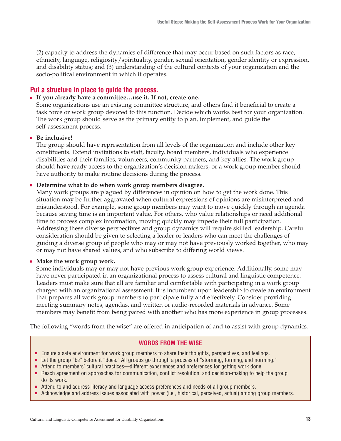(2) capacity to address the dynamics of difference that may occur based on such factors as race, ethnicity, language, religiosity/spirituality, gender, sexual orientation, gender identity or expression, and disability status; and (3) understanding of the cultural contexts of your organization and the socio-political environment in which it operates.

## **Put a structure in place to guide the process.**

#### ■ **If you already have a committee…use it. If not, create one.**

Some organizations use an existing committee structure, and others find it beneficial to create a task force or work group devoted to this function. Decide which works best for your organization. The work group should serve as the primary entity to plan, implement, and guide the self-assessment process.

#### ■ **Be inclusive!**

The group should have representation from all levels of the organization and include other key constituents. Extend invitations to staff, faculty, board members, individuals who experience disabilities and their families, volunteers, community partners, and key allies. The work group should have ready access to the organization's decision makers, or a work group member should have authority to make routine decisions during the process.

#### ■ Determine what to do when work group members disagree.

Many work groups are plagued by differences in opinion on how to get the work done. This situation may be further aggravated when cultural expressions of opinions are misinterpreted and misunderstood. For example, some group members may want to move quickly through an agenda because saving time is an important value. For others, who value relationships or need additional time to process complex information, moving quickly may impede their full participation. Addressing these diverse perspectives and group dynamics will require skilled leadership. Careful consideration should be given to selecting a leader or leaders who can meet the challenges of guiding a diverse group of people who may or may not have previously worked together, who may or may not have shared values, and who subscribe to differing world views.

#### ■ **Make the work group work.**

Some individuals may or may not have previous work group experience. Additionally, some may have never participated in an organizational process to assess cultural and linguistic competence. Leaders must make sure that all are familiar and comfortable with participating in a work group charged with an organizational assessment. It is incumbent upon leadership to create an environment that prepares all work group members to participate fully and effectively. Consider providing meeting summary notes, agendas, and written or audio-recorded materials in advance. Some members may benefit from being paired with another who has more experience in group processes.

The following "words from the wise" are offered in anticipation of and to assist with group dynamics.

### **WORDS FROM THE WISE**

- Ensure a safe environment for work group members to share their thoughts, perspectives, and feelings.
- Let the group "be" before it "does." All groups go through a process of "storming, forming, and norming."
- Attend to members' cultural practices—different experiences and preferences for getting work done.
- Reach agreement on approaches for communication, conflict resolution, and decision-making to help the group do its work.
- Attend to and address literacy and language access preferences and needs of all group members.
- Acknowledge and address issues associated with power (i.e., historical, perceived, actual) among group members.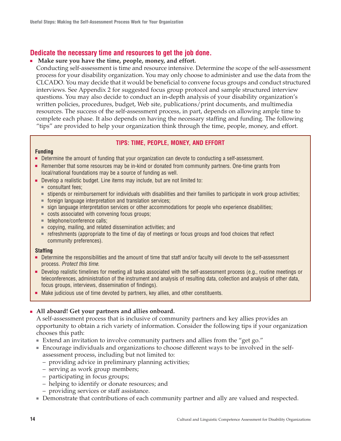## **Dedicate the necessary time and resources to get the job done.**

#### ■ Make sure you have the time, people, money, and effort.

Conducting self-assessment is time and resource intensive. Determine the scope of the self-assessment process for your disability organization. You may only choose to administer and use the data from the CLCADO. You may decide that it would be beneficial to convene focus groups and conduct structured interviews. See Appendix 2 for suggested focus group protocol and sample structured interview questions. You may also decide to conduct an in-depth analysis of your disability organization's written policies, procedures, budget, Web site, publications/print documents, and multimedia resources. The success of the self-assessment process, in part, depends on allowing ample time to complete each phase. It also depends on having the necessary staffing and funding. The following "tips" are provided to help your organization think through the time, people, money, and effort.

#### **TIPS: TIME, PEOPLE, MONEY, AND EFFORT**

#### **Funding**

- Determine the amount of funding that your organization can devote to conducting a self-assessment.
- Remember that some resources may be in-kind or donated from community partners. One-time grants from local/national foundations may be a source of funding as well.
- Develop a realistic budget. Line items may include, but are not limited to:
	- consultant fees;
	- stipends or reimbursement for individuals with disabilities and their families to participate in work group activities;
	- foreign language interpretation and translation services;
	- sign language interpretation services or other accommodations for people who experience disabilities;
	- costs associated with convening focus groups;
	- telephone/conference calls;
	- copying, mailing, and related dissemination activities; and
	- refreshments (appropriate to the time of day of meetings or focus groups and food choices that reflect community preferences).

#### **Staffing**

- Determine the responsibilities and the amount of time that staff and/or faculty will devote to the self-assessment process. Protect this time.
- Develop realistic timelines for meeting all tasks associated with the self-assessment process (e.g., routine meetings or teleconferences, administration of the instrument and analysis of resulting data, collection and analysis of other data, focus groups, interviews, dissemination of findings).
- Make judicious use of time devoted by partners, key allies, and other constituents.

### ■ **All aboard! Get your partners and allies onboard.**

A self-assessment process that is inclusive of community partners and key allies provides an opportunity to obtain a rich variety of information. Consider the following tips if your organization chooses this path:

- Extend an invitation to involve community partners and allies from the "get go."
- Encourage individuals and organizations to choose different ways to be involved in the selfassessment process, including but not limited to:
	- providing advice in preliminary planning activities;
	- serving as work group members;
	- participating in focus groups;
	- helping to identify or donate resources; and
	- providing services or staff assistance.
- Demonstrate that contributions of each community partner and ally are valued and respected.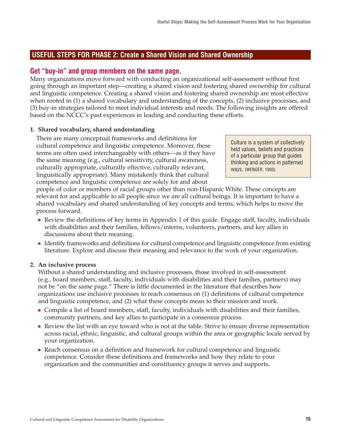## **USEFUL STEPS FOR PHASE 2: Create a Shared Vision and Shared Ownership**

## **Get "buy-in" and group members on the same page.**

Many organizations move forward with conducting an organizational self-assessment without first going through an important step—creating a shared vision and fostering shared ownership for cultural and linguistic competence. Creating a shared vision and fostering shared ownership are most effective when rooted in (1) a shared vocabulary and understanding of the concepts, (2) inclusive processes, and (3) buy-in strategies tailored to meet individual interests and needs. The following insights are offered based on the NCCC's past experiences in leading and conducting these efforts.

### **1. Shared vocabulary, shared understanding**

There are many conceptual frameworks and definitions for cultural competence and linguistic competence. Moreover, these terms are often used interchangeably with others—as if they have the same meaning (e.g., cultural sensitivity, cultural awareness, culturally appropriate, culturally effective, culturally relevant, linguistically appropriate). Many mistakenly think that cultural competence and linguistic competence are solely for and about

Culture is a system of collectively held values, beliefs and practices of a particular group that guides thinking and actions in patterned ways. (WENGER, 1993)

people of color or members of racial groups other than non-Hispanic White. These concepts are relevant for and applicable to all people since we are all cultural beings. It is important to have a shared vocabulary and shared understanding of key concepts and terms, which helps to move the process forward.

- Review the definitions of key terms in Appendix 1 of this guide. Engage staff, faculty, individuals with disabilities and their families, fellows/interns, volunteers, partners, and key allies in discussions about their meaning.
- Identify frameworks and definitions for cultural competence and linguistic competence from existing literature. Explore and discuss their meaning and relevance to the work of your organization.

### **2. An inclusive process**

Without a shared understanding and inclusive processes, those involved in self-assessment (e.g., board members, staff, faculty, individuals with disabilities and their families, partners) may not be "on the same page." There is little documented in the literature that describes how organizations use inclusive processes to reach consensus on (1) definitions of cultural competence and linguistic competence, and (2) what these concepts mean to their mission and work.

- Compile a list of board members, staff, faculty, individuals with disabilities and their families, community partners, and key allies to participate in a consensus process.
- Review the list with an eye toward who is not at the table. Strive to ensure diverse representation across racial, ethnic, linguistic, and cultural groups within the area or geographic locale served by your organization.
- Reach consensus on a definition and framework for cultural competence and linguistic competence. Consider these definitions and frameworks and how they relate to your organization and the communities and constituency groups it serves and supports.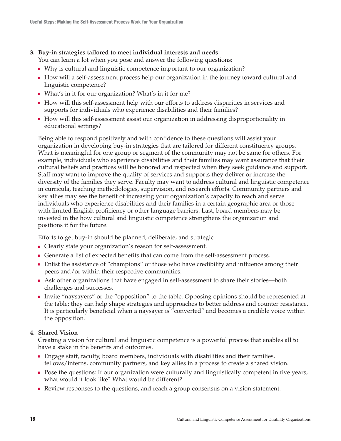### **3. Buy-in strategies tailored to meet individual interests and needs**

You can learn a lot when you pose and answer the following questions:

- Why is cultural and linguistic competence important to our organization?
- How will a self-assessment process help our organization in the journey toward cultural and linguistic competence?
- What's in it for our organization? What's in it for me?
- How will this self-assessment help with our efforts to address disparities in services and supports for individuals who experience disabilities and their families?
- How will this self-assessment assist our organization in addressing disproportionality in educational settings?

Being able to respond positively and with confidence to these questions will assist your organization in developing buy-in strategies that are tailored for different constituency groups. What is meaningful for one group or segment of the community may not be same for others. For example, individuals who experience disabilities and their families may want assurance that their cultural beliefs and practices will be honored and respected when they seek guidance and support. Staff may want to improve the quality of services and supports they deliver or increase the diversity of the families they serve. Faculty may want to address cultural and linguistic competence in curricula, teaching methodologies, supervision, and research efforts. Community partners and key allies may see the benefit of increasing your organization's capacity to reach and serve individuals who experience disabilities and their families in a certain geographic area or those with limited English proficiency or other language barriers. Last, board members may be invested in the how cultural and linguistic competence strengthens the organization and positions it for the future.

Efforts to get buy-in should be planned, deliberate, and strategic.

- Clearly state your organization's reason for self-assessment.
- Generate a list of expected benefits that can come from the self-assessment process.
- Enlist the assistance of "champions" or those who have credibility and influence among their peers and/or within their respective communities.
- Ask other organizations that have engaged in self-assessment to share their stories—both challenges and successes.
- Invite "naysayers" or the "opposition" to the table. Opposing opinions should be represented at the table; they can help shape strategies and approaches to better address and counter resistance. It is particularly beneficial when a naysayer is "converted" and becomes a credible voice within the opposition.

### **4. Shared Vision**

Creating a vision for cultural and linguistic competence is a powerful process that enables all to have a stake in the benefits and outcomes.

- Engage staff, faculty, board members, individuals with disabilities and their families, fellows/interns, community partners, and key allies in a process to create a shared vision.
- Pose the questions: If our organization were culturally and linguistically competent in five years, what would it look like? What would be different?
- Review responses to the questions, and reach a group consensus on a vision statement.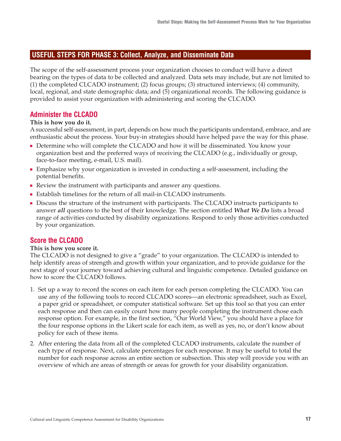### **USEFUL STEPS FOR PHASE 3: Collect, Analyze, and Disseminate Data**

The scope of the self-assessment process your organization chooses to conduct will have a direct bearing on the types of data to be collected and analyzed. Data sets may include, but are not limited to (1) the completed CLCADO instrument; (2) focus groups; (3) structured interviews; (4) community, local, regional, and state demographic data; and (5) organizational records. The following guidance is provided to assist your organization with administering and scoring the CLCADO.

## **Administer the CLCADO**

#### **This is how you do it.**

A successful self-assessment, in part, depends on how much the participants understand, embrace, and are enthusiastic about the process. Your buy-in strategies should have helped pave the way for this phase.

- Determine who will complete the CLCADO and how it will be disseminated. You know your organization best and the preferred ways of receiving the CLCADO (e.g., individually or group, face-to-face meeting, e-mail, U.S. mail).
- Emphasize why your organization is invested in conducting a self-assessment, including the potential benefits.
- Review the instrument with participants and answer any questions.
- Establish timelines for the return of all mail-in CLCADO instruments.
- Discuss the structure of the instrument with participants. The CLCADO instructs participants to answer *all* questions to the best of their knowledge. The section entitled *What We Do* lists a broad range of activities conducted by disability organizations. Respond to only those activities conducted by your organization.

### **Score the CLCADO**

#### **This is how you score it.**

The CLCADO is not designed to give a "grade" to your organization. The CLCADO is intended to help identify areas of strength and growth within your organization, and to provide guidance for the next stage of your journey toward achieving cultural and linguistic competence. Detailed guidance on how to score the CLCADO follows.

- 1. Set up a way to record the scores on each item for each person completing the CLCADO. You can use any of the following tools to record CLCADO scores—an electronic spreadsheet, such as Excel, a paper grid or spreadsheet, or computer statistical software. Set up this tool so that you can enter each response and then can easily count how many people completing the instrument chose each response option. For example, in the first section, "Our World View," you should have a place for the four response options in the Likert scale for each item, as well as yes, no, or don't know about policy for each of these items.
- 2. After entering the data from all of the completed CLCADO instruments, calculate the number of each type of response. Next, calculate percentages for each response. It may be useful to total the number for each response across an entire section or subsection. This step will provide you with an overview of which are areas of strength or areas for growth for your disability organization.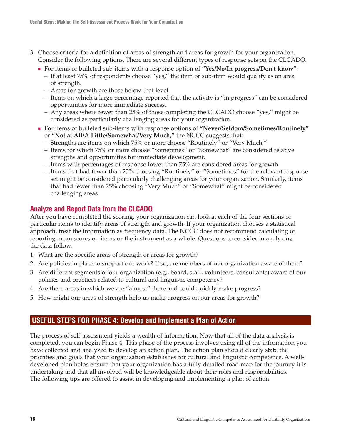- 3. Choose criteria for a definition of areas of strength and areas for growth for your organization. Consider the following options. There are several different types of response sets on the CLCADO.
	- For items or bulleted sub-items with a response option of "Yes/No/In progress/Don't know":
		- If at least 75% of respondents choose "yes," the item or sub-item would qualify as an area of strength.
		- Areas for growth are those below that level.
		- Items on which a large percentage reported that the activity is "in progress" can be considered opportunities for more immediate success.
		- Any areas where fewer than 25% of those completing the CLCADO choose "yes," might be considered as particularly challenging areas for your organization.
	- For items or bulleted sub-items with response options of **"Never/Seldom/Sometimes/Routinely"** or **"Not at All/A Little/Somewhat/Very Much,"** the NCCC suggests that:
		- Strengths are items on which 75% or more choose "Routinely" or "Very Much."
		- Items for which 75% or more choose "Sometimes" or "Somewhat" are considered relative strengths and opportunities for immediate development.
		- Items with percentages of response lower than 75% are considered areas for growth.
		- Items that had fewer than 25% choosing "Routinely" or "Sometimes" for the relevant response set might be considered particularly challenging areas for your organization. Similarly, items that had fewer than 25% choosing "Very Much" or "Somewhat" might be considered challenging areas.

## **Analyze and Report Data from the CLCADO**

After you have completed the scoring, your organization can look at each of the four sections or particular items to identify areas of strength and growth. If your organization chooses a statistical approach, treat the information as frequency data. The NCCC does not recommend calculating or reporting mean scores on items or the instrument as a whole. Questions to consider in analyzing the data follow:

- 1. What are the specific areas of strength or areas for growth?
- 2. Are policies in place to support our work? If so, are members of our organization aware of them?
- 3. Are different segments of our organization (e.g., board, staff, volunteers, consultants) aware of our policies and practices related to cultural and linguistic competency?
- 4. Are there areas in which we are "almost" there and could quickly make progress?
- 5. How might our areas of strength help us make progress on our areas for growth?

### **USEFUL STEPS FOR PHASE 4: Develop and Implement a Plan of Action**

The process of self-assessment yields a wealth of information. Now that all of the data analysis is completed, you can begin Phase 4. This phase of the process involves using all of the information you have collected and analyzed to develop an action plan. The action plan should clearly state the priorities and goals that your organization establishes for cultural and linguistic competence. A welldeveloped plan helps ensure that your organization has a fully detailed road map for the journey it is undertaking and that all involved will be knowledgeable about their roles and responsibilities. The following tips are offered to assist in developing and implementing a plan of action.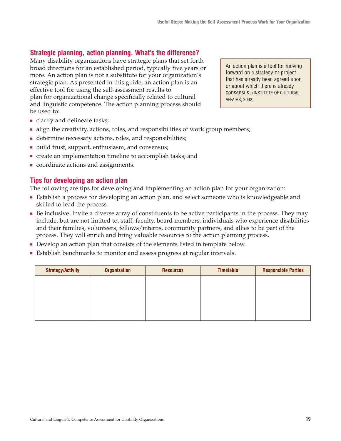## **Strategic planning, action planning. What's the difference?**

Many disability organizations have strategic plans that set forth broad directions for an established period, typically five years or more. An action plan is not a substitute for your organization's strategic plan. As presented in this guide, an action plan is an effective tool for using the self-assessment results to plan for organizational change specifically related to cultural and linguistic competence. The action planning process should be used to:

An action plan is a tool for moving forward on a strategy or project that has already been agreed upon or about which there is already consensus. (INSTITUTE OF CULTURAL AFFAIRS, 2002)

- clarify and delineate tasks;
- align the creativity, actions, roles, and responsibilities of work group members;
- determine necessary actions, roles, and responsibilities;
- build trust, support, enthusiasm, and consensus;
- create an implementation timeline to accomplish tasks; and
- coordinate actions and assignments.

## **Tips for developing an action plan**

The following are tips for developing and implementing an action plan for your organization:

- Establish a process for developing an action plan, and select someone who is knowledgeable and skilled to lead the process.
- Be inclusive. Invite a diverse array of constituents to be active participants in the process. They may include, but are not limited to, staff, faculty, board members, individuals who experience disabilities and their families, volunteers, fellows/interns, community partners, and allies to be part of the process. They will enrich and bring valuable resources to the action planning process.
- Develop an action plan that consists of the elements listed in template below.
- Establish benchmarks to monitor and assess progress at regular intervals.

| <b>Strategy/Activity</b> | <b>Organization</b> | <b>Resources</b> | <b>Timetable</b> | <b>Responsible Parties</b> |
|--------------------------|---------------------|------------------|------------------|----------------------------|
|                          |                     |                  |                  |                            |
|                          |                     |                  |                  |                            |
|                          |                     |                  |                  |                            |
|                          |                     |                  |                  |                            |
|                          |                     |                  |                  |                            |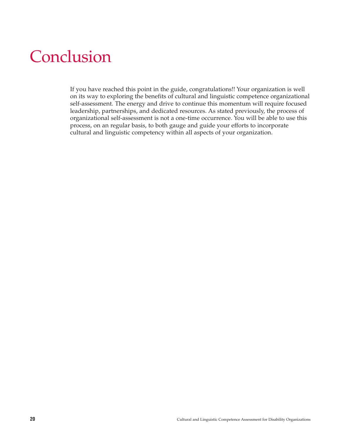# Conclusion

If you have reached this point in the guide, congratulations!! Your organization is well on its way to exploring the benefits of cultural and linguistic competence organizational self-assessment. The energy and drive to continue this momentum will require focused leadership, partnerships, and dedicated resources. As stated previously, the process of organizational self-assessment is not a one-time occurrence. You will be able to use this process, on an regular basis, to both gauge and guide your efforts to incorporate cultural and linguistic competency within all aspects of your organization.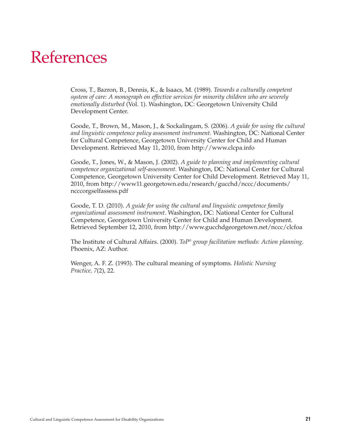## References

Cross, T., Bazron, B., Dennis, K., & Isaacs, M. (1989). *Towards a culturally competent system of care: A monograph on effective services for minority children who are severely emotionally disturbed* (Vol. 1). Washington, DC: Georgetown University Child Development Center.

Goode, T., Brown, M., Mason, J., & Sockalingam, S. (2006). *A guide for using the cultural and linguistic competence policy assessment instrument*. Washington, DC: National Center for Cultural Competence, Georgetown University Center for Child and Human Development. Retrieved May 11, 2010, from http://www.clcpa.info

Goode, T., Jones, W., & Mason, J. (2002). *A guide to planning and implementing cultural competence organizational self-assessment*. Washington, DC: National Center for Cultural Competence, Georgetown University Center for Child Development. Retrieved May 11, 2010, from http://www11.georgetown.edu/research/gucchd/nccc/documents/ ncccorgselfassess.pdf

Goode, T. D. (2010). *A guide for using the cultural and linguistic competence family organizational assessment instrument*. Washington, DC: National Center for Cultural Competence, Georgetown University Center for Child and Human Development. Retrieved September 12, 2010, from http://www.gucchdgeorgetown.net/nccc/clcfoa

The Institute of Cultural Affairs. (2000). *ToP® group facilitation methods: Action planning*. Phoenix, AZ: Author.

Wenger, A. F. Z. (1993). The cultural meaning of symptoms. *Holistic Nursing Practice, 7*(2), 22.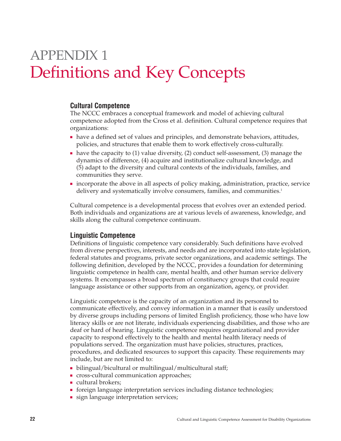## APPENDIX 1 Definitions and Key Concepts

## **Cultural Competence**

The NCCC embraces a conceptual framework and model of achieving cultural competence adopted from the Cross et al. definition. Cultural competence requires that organizations:

- have a defined set of values and principles, and demonstrate behaviors, attitudes, policies, and structures that enable them to work effectively cross-culturally.
- have the capacity to (1) value diversity, (2) conduct self-assessment, (3) manage the dynamics of difference, (4) acquire and institutionalize cultural knowledge, and (5) adapt to the diversity and cultural contexts of the individuals, families, and communities they serve.
- incorporate the above in all aspects of policy making, administration, practice, service delivery and systematically involve consumers, families, and communities.<sup>1</sup>

Cultural competence is a developmental process that evolves over an extended period. Both individuals and organizations are at various levels of awareness, knowledge, and skills along the cultural competence continuum.

### **Linguistic Competence**

Definitions of linguistic competence vary considerably. Such definitions have evolved from diverse perspectives, interests, and needs and are incorporated into state legislation, federal statutes and programs, private sector organizations, and academic settings. The following definition, developed by the NCCC, provides a foundation for determining linguistic competence in health care, mental health, and other human service delivery systems. It encompasses a broad spectrum of constituency groups that could require language assistance or other supports from an organization, agency, or provider.

Linguistic competence is the capacity of an organization and its personnel to communicate effectively, and convey information in a manner that is easily understood by diverse groups including persons of limited English proficiency, those who have low literacy skills or are not literate, individuals experiencing disabilities, and those who are deaf or hard of hearing. Linguistic competence requires organizational and provider capacity to respond effectively to the health and mental health literacy needs of populations served. The organization must have policies, structures, practices, procedures, and dedicated resources to support this capacity. These requirements may include, but are not limited to:

- bilingual/bicultural or multilingual/multicultural staff;
- cross-cultural communication approaches;
- cultural brokers;
- foreign language interpretation services including distance technologies;
- sign language interpretation services;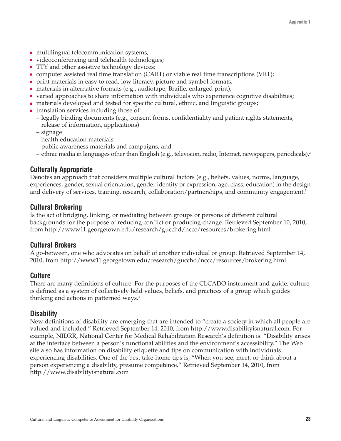- multilingual telecommunication systems;
- videoconferencing and telehealth technologies;
- TTY and other assistive technology devices;
- computer assisted real time translation (CART) or viable real time transcriptions (VRT);
- print materials in easy to read, low literacy, picture and symbol formats;
- materials in alternative formats (e.g., audiotape, Braille, enlarged print);
- varied approaches to share information with individuals who experience cognitive disabilities;
- materials developed and tested for specific cultural, ethnic, and linguistic groups;
- translation services including those of:
	- legally binding documents (e.g., consent forms, confidentiality and patient rights statements, release of information, applications)
	- signage
	- health education materials
	- public awareness materials and campaigns; and
	- ethnic media in languages other than English (e.g., television, radio, Internet, newspapers, periodicals).2

## **Culturally Appropriate**

Denotes an approach that considers multiple cultural factors (e.g., beliefs, values, norms, language, experiences, gender, sexual orientation, gender identity or expression, age, class, education) in the design and delivery of services, training, research, collaboration/partnerships, and community engagement.<sup>3</sup>

## **Cultural Brokering**

Is the act of bridging, linking, or mediating between groups or persons of different cultural backgrounds for the purpose of reducing conflict or producing change. Retrieved September 10, 2010, from http://www11.georgetown.edu/research/gucchd/nccc/resources/brokering.html

### **Cultural Brokers**

A go-between, one who advocates on behalf of another individual or group. Retrieved September 14, 2010, from http://www11.georgetown.edu/research/gucchd/nccc/resources/brokering.html

### **Culture**

There are many definitions of culture. For the purposes of the CLCADO instrument and guide, culture is defined as a system of collectively held values, beliefs, and practices of a group which guides thinking and actions in patterned ways.<sup>4</sup>

### **Disability**

New definitions of disability are emerging that are intended to "create a society in which all people are valued and included." Retrieved September 14, 2010, from http://www.disabilityisnatural.com. For example, NIDRR, National Center for Medical Rehabilitation Research's definition is: "Disability arises at the interface between a person's functional abilities and the environment's accessibility." The Web site also has information on disability etiquette and tips on communication with individuals experiencing disabilities. One of the best take-home tips is, "When you see, meet, or think about a person experiencing a disability, presume competence." Retrieved September 14, 2010, from http://www.disabilityisnatural.com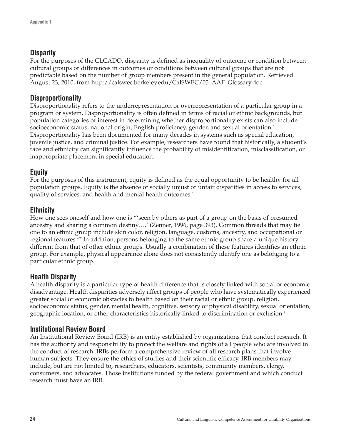## **Disparity**

For the purposes of the CLCADO, disparity is defined as inequality of outcome or condition between cultural groups or differences in outcomes or conditions between cultural groups that are not predictable based on the number of group members present in the general population. Retrieved August 23, 2010, from http://calswec.berkeley.edu/CalSWEC/05\_AAF\_Glossary.doc

## **Disproportionality**

Disproportionality refers to the underrepresentation or overrepresentation of a particular group in a program or system. Disproportionality is often defined in terms of racial or ethnic backgrounds, but population categories of interest in determining whether disproportionality exists can also include socioeconomic status, national origin, English proficiency, gender, and sexual orientation.<sup>5</sup> Disproportionality has been documented for many decades in systems such as special education, juvenile justice, and criminal justice. For example, researchers have found that historically, a student's race and ethnicity can significantly influence the probability of misidentification, misclassification, or inappropriate placement in special education.

## **Equity**

For the purposes of this instrument, equity is defined as the equal opportunity to be healthy for all population groups. Equity is the absence of socially unjust or unfair disparities in access to services, quality of services, and health and mental health outcomes.<sup>6</sup>

## **Ethnicity**

How one sees oneself and how one is "'seen by others as part of a group on the basis of presumed ancestry and sharing a common destiny….' (Zenner, 1996, page 393). Common threads that may tie one to an ethnic group include skin color, religion, language, customs, ancestry, and occupational or regional features."7 In addition, persons belonging to the same ethnic group share a unique history different from that of other ethnic groups. Usually a combination of these features identifies an ethnic group. For example, physical appearance alone does not consistently identify one as belonging to a particular ethnic group.

## **Health Disparity**

A health disparity is a particular type of health difference that is closely linked with social or economic disadvantage. Health disparities adversely affect groups of people who have systematically experienced greater social or economic obstacles to health based on their racial or ethnic group, religion, socioeconomic status, gender, mental health, cognitive, sensory or physical disability, sexual orientation, geographic location, or other characteristics historically linked to discrimination or exclusion.8

## **Institutional Review Board**

An Institutional Review Board (IRB) is an entity established by organizations that conduct research. It has the authority and responsibility to protect the welfare and rights of all people who are involved in the conduct of research. IRBs perform a comprehensive review of all research plans that involve human subjects. They ensure the ethics of studies and their scientific efficacy. IRB members may include, but are not limited to, researchers, educators, scientists, community members, clergy, consumers, and advocates. Those institutions funded by the federal government and which conduct research must have an IRB.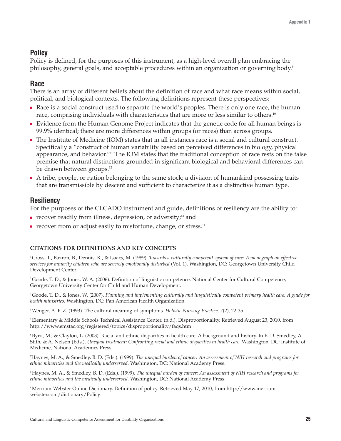## **Policy**

Policy is defined, for the purposes of this instrument, as a high-level overall plan embracing the philosophy, general goals, and acceptable procedures within an organization or governing body.<sup>9</sup>

## **Race**

There is an array of different beliefs about the definition of race and what race means within social, political, and biological contexts. The following definitions represent these perspectives:

- Race is a social construct used to separate the world's peoples. There is only one race, the human race, comprising individuals with characteristics that are more or less similar to others.<sup>10</sup>
- Evidence from the Human Genome Project indicates that the genetic code for all human beings is 99.9% identical; there are more differences within groups (or races) than across groups.
- The Institute of Medicine (IOM) states that in all instances race is a social and cultural construct. Specifically a "construct of human variability based on perceived differences in biology, physical appearance, and behavior."<sup>11</sup> The IOM states that the traditional conception of race rests on the false premise that natural distinctions grounded in significant biological and behavioral differences can be drawn between groups.<sup>12</sup>
- A tribe, people, or nation belonging to the same stock; a division of humankind possessing traits that are transmissible by descent and sufficient to characterize it as a distinctive human type.

## **Resiliency**

For the purposes of the CLCADO instrument and guide, definitions of resiliency are the ability to:

- $\blacksquare$  recover readily from illness, depression, or adversity;<sup>13</sup> and
- recover from or adjust easily to misfortune, change, or stress.<sup>14</sup>

### **CITATIONS FOR DEFINITIONS AND KEY CONCEPTS**

1 Cross, T., Bazron, B., Dennis, K., & Isaacs, M. (1989). *Towards a culturally competent system of care: A monograph on effective services for minority children who are severely emotionally disturbed* (Vol. 1). Washington, DC: Georgetown University Child Development Center.

2 Goode, T. D., & Jones, W. A. (2006). Definition of linguistic competence. National Center for Cultural Competence, Georgetown University Center for Child and Human Development.

3 Goode, T. D., & Jones, W. (2007). *Planning and implementing culturally and linguistically competent primary health care: A guide for health ministries*. Washington, DC: Pan American Health Organization.

4 Wenger, A. F. Z. (1993). The cultural meaning of symptoms. *Holistic Nursing Practice, 7*(2), 22-35.

5 Elementary & Middle Schools Technical Assistance Center. (n.d.). Disproportionality. Retrieved August 23, 2010, from http://www.emstac.org/registered/topics/disproportionality/faqs.htm

6 Byrd, M., & Clayton, L. (2003). Racial and ethnic disparities in health care: A background and history. In B. D. Smedley, A. Stith, & A. Nelson (Eds.), *Unequal treatment: Confronting racial and ethnic disparities in health care*. Washington, DC: Institute of Medicine, National Academies Press.

7 Haynes, M. A., & Smedley, B. D. (Eds.). (1999). *The unequal burden of cancer: An assessment of NIH research and programs for ethnic minorities and the medically underserved*. Washington, DC: National Academy Press.

8 Haynes, M. A., & Smedley, B. D. (Eds.). (1999). *The unequal burden of cancer: An assessment of NIH research and programs for ethnic minorities and the medically underserved*. Washington, DC: National Academy Press.

9 Merriam-Webster Online Dictionary. Definition of policy. Retrieved May 17, 2010, from http://www.merriamwebster.com/dictionary/Policy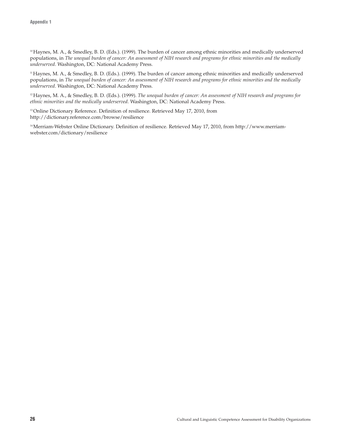10 Haynes, M. A., & Smedley, B. D. (Eds.). (1999). The burden of cancer among ethnic minorities and medically underserved populations, in *The unequal burden of cancer: An assessment of NIH research and programs for ethnic minorities and the medically underserved*. Washington, DC: National Academy Press.

11 Haynes, M. A., & Smedley, B. D. (Eds.). (1999). The burden of cancer among ethnic minorities and medically underserved populations, in *The unequal burden of cancer: An assessment of NIH research and programs for ethnic minorities and the medically underserved*. Washington, DC: National Academy Press.

12 Haynes, M. A., & Smedley, B. D. (Eds.). (1999). *The unequal burden of cancer: An assessment of NIH research and programs for ethnic minorities and the medically underserved*. Washington, DC: National Academy Press.

<sup>13</sup> Online Dictionary Reference. Definition of resilience. Retrieved May 17, 2010, from http://dictionary.reference.com/browse/resilience

14 Merriam-Webster Online Dictionary. Definition of resilience. Retrieved May 17, 2010, from http://www.merriamwebster.com/dictionary/resilience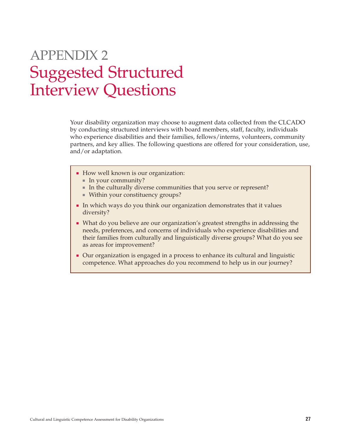## APPENDIX 2 Suggested Structured Interview Questions

Your disability organization may choose to augment data collected from the CLCADO by conducting structured interviews with board members, staff, faculty, individuals who experience disabilities and their families, fellows/interns, volunteers, community partners, and key allies. The following questions are offered for your consideration, use, and/or adaptation.

- How well known is our organization:
	- In your community?
	- In the culturally diverse communities that you serve or represent?
	- Within your constituency groups?
- In which ways do you think our organization demonstrates that it values diversity?
- What do you believe are our organization's greatest strengths in addressing the needs, preferences, and concerns of individuals who experience disabilities and their families from culturally and linguistically diverse groups? What do you see as areas for improvement?
- Our organization is engaged in a process to enhance its cultural and linguistic competence. What approaches do you recommend to help us in our journey?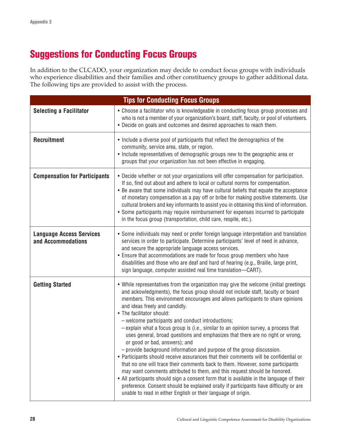## **Suggestions for Conducting Focus Groups**

In addition to the CLCADO, your organization may decide to conduct focus groups with individuals who experience disabilities and their families and other constituency groups to gather additional data. The following tips are provided to assist with the process.

| <b>Tips for Conducting Focus Groups</b>               |                                                                                                                                                                                                                                                                                                                                                                                                                                                                                                                                                                                                                                                                                                                                                                                                                                                                                                                                                                                                                                                                                                                                                                                |  |  |
|-------------------------------------------------------|--------------------------------------------------------------------------------------------------------------------------------------------------------------------------------------------------------------------------------------------------------------------------------------------------------------------------------------------------------------------------------------------------------------------------------------------------------------------------------------------------------------------------------------------------------------------------------------------------------------------------------------------------------------------------------------------------------------------------------------------------------------------------------------------------------------------------------------------------------------------------------------------------------------------------------------------------------------------------------------------------------------------------------------------------------------------------------------------------------------------------------------------------------------------------------|--|--|
| <b>Selecting a Facilitator</b>                        | • Choose a facilitator who is knowledgeable in conducting focus group processes and<br>who is not a member of your organization's board, staff, faculty, or pool of volunteers.<br>. Decide on goals and outcomes and desired approaches to reach them.                                                                                                                                                                                                                                                                                                                                                                                                                                                                                                                                                                                                                                                                                                                                                                                                                                                                                                                        |  |  |
| <b>Recruitment</b>                                    | • Include a diverse pool of participants that reflect the demographics of the<br>community, service area, state, or region.<br>• Include representatives of demographic groups new to the geographic area or<br>groups that your organization has not been effective in engaging.                                                                                                                                                                                                                                                                                                                                                                                                                                                                                                                                                                                                                                                                                                                                                                                                                                                                                              |  |  |
| <b>Compensation for Participants</b>                  | . Decide whether or not your organizations will offer compensation for participation.<br>If so, find out about and adhere to local or cultural norms for compensation.<br>• Be aware that some individuals may have cultural beliefs that equate the acceptance<br>of monetary compensation as a pay off or bribe for making positive statements. Use<br>cultural brokers and key informants to assist you in obtaining this kind of information.<br>• Some participants may require reimbursement for expenses incurred to participate<br>in the focus group (transportation, child care, respite, etc.).                                                                                                                                                                                                                                                                                                                                                                                                                                                                                                                                                                     |  |  |
| <b>Language Access Services</b><br>and Accommodations | • Some individuals may need or prefer foreign language interpretation and translation<br>services in order to participate. Determine participants' level of need in advance,<br>and secure the appropriate language access services.<br>• Ensure that accommodations are made for focus group members who have<br>disabilities and those who are deaf and hard of hearing (e.g., Braille, large print,<br>sign language, computer assisted real time translation-CART).                                                                                                                                                                                                                                                                                                                                                                                                                                                                                                                                                                                                                                                                                                        |  |  |
| <b>Getting Started</b>                                | • While representatives from the organization may give the welcome (initial greetings<br>and ackowledgments), the focus group should not include staff, faculty or board<br>members. This environment encourages and allows participants to share opinions<br>and ideas freely and candidly.<br>• The facilitator should:<br>- welcome participants and conduct introductions;<br>- explain what a focus group is (i.e., similar to an opinion survey, a process that<br>uses general, broad questions and emphasizes that there are no right or wrong,<br>or good or bad, answers); and<br>- provide background information and purpose of the group discussion.<br>• Participants should receive assurances that their comments will be confidential or<br>that no one will trace their comments back to them. However, some participants<br>may want comments attributed to them, and this request should be honored.<br>• All participants should sign a consent form that is available in the language of their<br>preference. Consent should be explained orally if participants have difficulty or are<br>unable to read in either English or their language of origin. |  |  |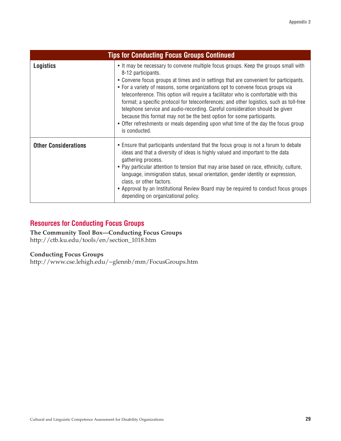| <b>Tips for Conducting Focus Groups Continued</b> |                                                                                                                                                                                                                                                                                                                                                                                                                                                                                                                                                                                                                                                                                                                                      |  |
|---------------------------------------------------|--------------------------------------------------------------------------------------------------------------------------------------------------------------------------------------------------------------------------------------------------------------------------------------------------------------------------------------------------------------------------------------------------------------------------------------------------------------------------------------------------------------------------------------------------------------------------------------------------------------------------------------------------------------------------------------------------------------------------------------|--|
| <b>Logistics</b>                                  | • It may be necessary to convene multiple focus groups. Keep the groups small with<br>8-12 participants.<br>• Convene focus groups at times and in settings that are convenient for participants.<br>• For a variety of reasons, some organizations opt to convene focus groups via<br>teleconference. This option will require a facilitator who is comfortable with this<br>format; a specific protocol for teleconferences; and other logistics, such as toll-free<br>telephone service and audio-recording. Careful consideration should be given<br>because this format may not be the best option for some participants.<br>• Offer refreshments or meals depending upon what time of the day the focus group<br>is conducted. |  |
| <b>Other Considerations</b>                       | • Ensure that participants understand that the focus group is not a forum to debate<br>ideas and that a diversity of ideas is highly valued and important to the data<br>gathering process.<br>• Pay particular attention to tension that may arise based on race, ethnicity, culture,<br>language, immigration status, sexual orientation, gender identity or expression,<br>class, or other factors.<br>• Approval by an Institutional Review Board may be required to conduct focus groups<br>depending on organizational policy.                                                                                                                                                                                                 |  |

## **Resources for Conducting Focus Groups**

**The Community Tool Box—Conducting Focus Groups** http://ctb.ku.edu/tools/en/section\_1018.htm

#### **Conducting Focus Groups**

http://www.cse.lehigh.edu/~glennb/mm/FocusGroups.htm